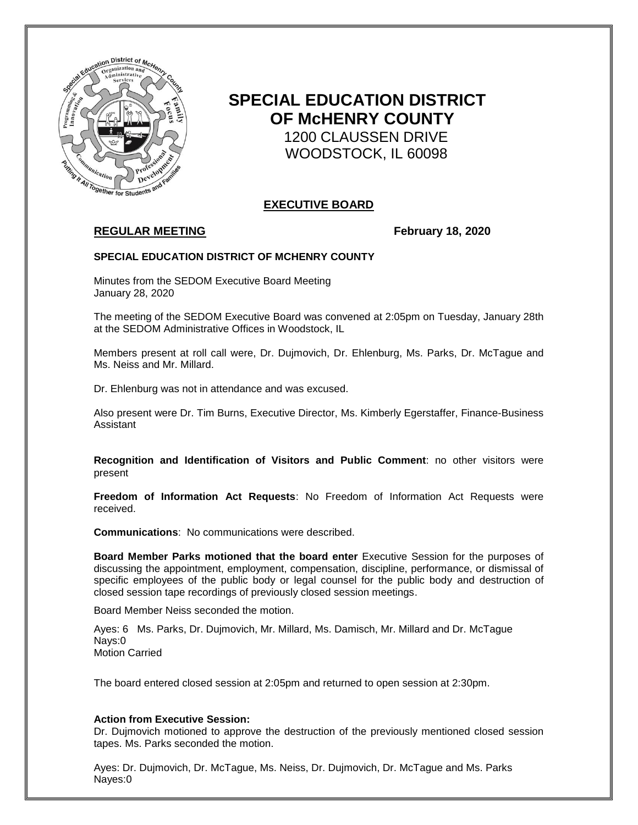

# **SPECIAL EDUCATION DISTRICT OF McHENRY COUNTY** 1200 CLAUSSEN DRIVE WOODSTOCK, IL 60098

# **EXECUTIVE BOARD**

# **REGULAR MEETING February 18, 2020**

### **SPECIAL EDUCATION DISTRICT OF MCHENRY COUNTY**

Minutes from the SEDOM Executive Board Meeting January 28, 2020

The meeting of the SEDOM Executive Board was convened at 2:05pm on Tuesday, January 28th at the SEDOM Administrative Offices in Woodstock, IL

Members present at roll call were, Dr. Dujmovich, Dr. Ehlenburg, Ms. Parks, Dr. McTague and Ms. Neiss and Mr. Millard.

Dr. Ehlenburg was not in attendance and was excused.

Also present were Dr. Tim Burns, Executive Director, Ms. Kimberly Egerstaffer, Finance-Business Assistant

**Recognition and Identification of Visitors and Public Comment**: no other visitors were present

**Freedom of Information Act Requests**: No Freedom of Information Act Requests were received.

**Communications**: No communications were described.

**Board Member Parks motioned that the board enter** Executive Session for the purposes of discussing the appointment, employment, compensation, discipline, performance, or dismissal of specific employees of the public body or legal counsel for the public body and destruction of closed session tape recordings of previously closed session meetings.

Board Member Neiss seconded the motion.

Ayes: 6 Ms. Parks, Dr. Dujmovich, Mr. Millard, Ms. Damisch, Mr. Millard and Dr. McTague Nays:0 Motion Carried

The board entered closed session at 2:05pm and returned to open session at 2:30pm.

#### **Action from Executive Session:**

Dr. Dujmovich motioned to approve the destruction of the previously mentioned closed session tapes. Ms. Parks seconded the motion.

Ayes: Dr. Dujmovich, Dr. McTague, Ms. Neiss, Dr. Dujmovich, Dr. McTague and Ms. Parks Nayes:0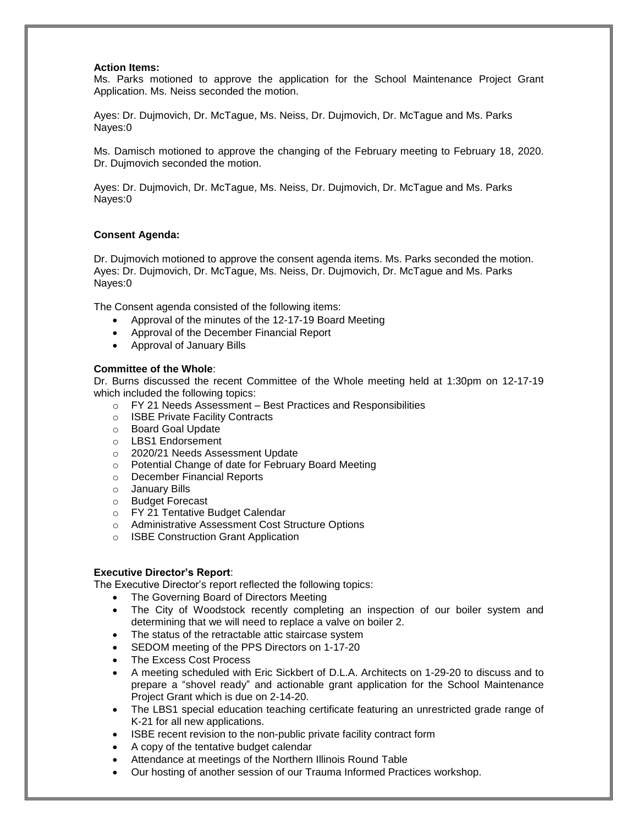#### **Action Items:**

Ms. Parks motioned to approve the application for the School Maintenance Project Grant Application. Ms. Neiss seconded the motion.

Ayes: Dr. Dujmovich, Dr. McTague, Ms. Neiss, Dr. Dujmovich, Dr. McTague and Ms. Parks Nayes:0

Ms. Damisch motioned to approve the changing of the February meeting to February 18, 2020. Dr. Dujmovich seconded the motion.

Ayes: Dr. Dujmovich, Dr. McTague, Ms. Neiss, Dr. Dujmovich, Dr. McTague and Ms. Parks Nayes:0

### **Consent Agenda:**

Dr. Dujmovich motioned to approve the consent agenda items. Ms. Parks seconded the motion. Ayes: Dr. Dujmovich, Dr. McTague, Ms. Neiss, Dr. Dujmovich, Dr. McTague and Ms. Parks Nayes:0

The Consent agenda consisted of the following items:

- Approval of the minutes of the 12-17-19 Board Meeting
- Approval of the December Financial Report
- Approval of January Bills

### **Committee of the Whole**:

Dr. Burns discussed the recent Committee of the Whole meeting held at 1:30pm on 12-17-19 which included the following topics:

- o FY 21 Needs Assessment Best Practices and Responsibilities
- o ISBE Private Facility Contracts
- o Board Goal Update
- o LBS1 Endorsement
- o 2020/21 Needs Assessment Update
- o Potential Change of date for February Board Meeting
- o December Financial Reports
- o January Bills
- o Budget Forecast
- o FY 21 Tentative Budget Calendar
- o Administrative Assessment Cost Structure Options
- o ISBE Construction Grant Application

#### **Executive Director's Report**:

The Executive Director's report reflected the following topics:

- The Governing Board of Directors Meeting
- The City of Woodstock recently completing an inspection of our boiler system and determining that we will need to replace a valve on boiler 2.
- The status of the retractable attic staircase system
- SEDOM meeting of the PPS Directors on 1-17-20
- The Excess Cost Process
- A meeting scheduled with Eric Sickbert of D.L.A. Architects on 1-29-20 to discuss and to prepare a "shovel ready" and actionable grant application for the School Maintenance Project Grant which is due on 2-14-20.
- The LBS1 special education teaching certificate featuring an unrestricted grade range of K-21 for all new applications.
- ISBE recent revision to the non-public private facility contract form
- A copy of the tentative budget calendar
- Attendance at meetings of the Northern Illinois Round Table
- Our hosting of another session of our Trauma Informed Practices workshop.